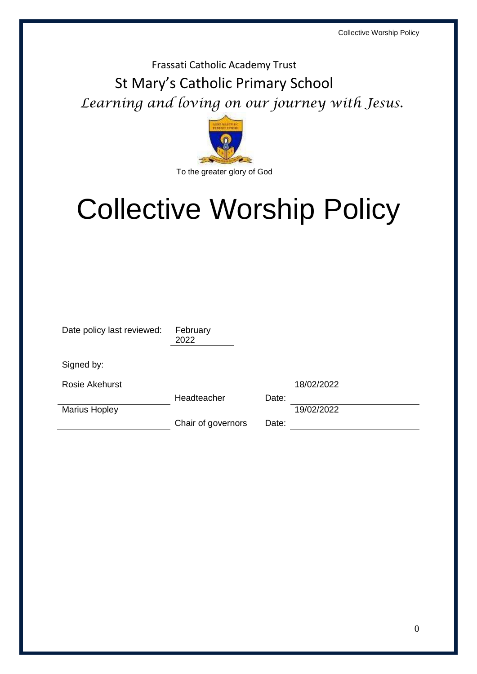# Frassati Catholic Academy Trust St Mary's Catholic Primary School *Learning and loving on our journey with Jesus.*



# Collective Worship Policy

| Date policy last reviewed: | February<br>2022   |       |            |
|----------------------------|--------------------|-------|------------|
| Signed by:                 |                    |       |            |
| <b>Rosie Akehurst</b>      |                    |       | 18/02/2022 |
|                            | Headteacher        | Date: |            |
| <b>Marius Hopley</b>       |                    |       | 19/02/2022 |
|                            | Chair of governors | Date: |            |
|                            |                    |       |            |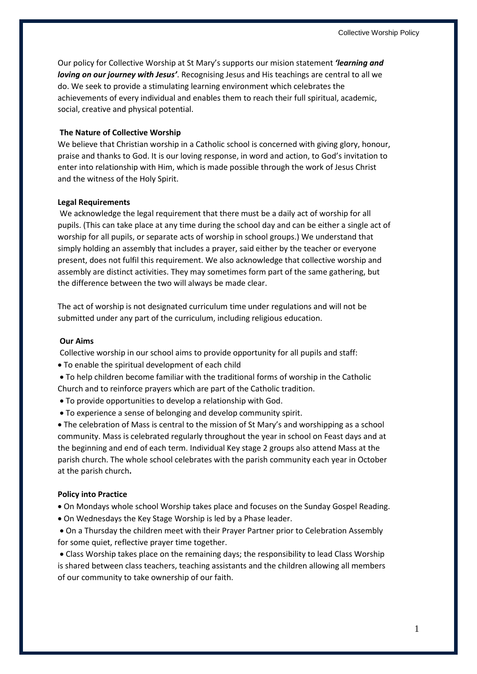Our policy for Collective Worship at St Mary's supports our mision statement *'learning and loving on our journey with Jesus'*. Recognising Jesus and His teachings are central to all we do. We seek to provide a stimulating learning environment which celebrates the achievements of every individual and enables them to reach their full spiritual, academic, social, creative and physical potential.

#### **The Nature of Collective Worship**

We believe that Christian worship in a Catholic school is concerned with giving glory, honour, praise and thanks to God. It is our loving response, in word and action, to God's invitation to enter into relationship with Him, which is made possible through the work of Jesus Christ and the witness of the Holy Spirit.

#### **Legal Requirements**

We acknowledge the legal requirement that there must be a daily act of worship for all pupils. (This can take place at any time during the school day and can be either a single act of worship for all pupils, or separate acts of worship in school groups.) We understand that simply holding an assembly that includes a prayer, said either by the teacher or everyone present, does not fulfil this requirement. We also acknowledge that collective worship and assembly are distinct activities. They may sometimes form part of the same gathering, but the difference between the two will always be made clear.

The act of worship is not designated curriculum time under regulations and will not be submitted under any part of the curriculum, including religious education.

#### **Our Aims**

Collective worship in our school aims to provide opportunity for all pupils and staff:

- To enable the spiritual development of each child
- To help children become familiar with the traditional forms of worship in the Catholic Church and to reinforce prayers which are part of the Catholic tradition.
- To provide opportunities to develop a relationship with God.
- To experience a sense of belonging and develop community spirit.

 The celebration of Mass is central to the mission of St Mary's and worshipping as a school community. Mass is celebrated regularly throughout the year in school on Feast days and at the beginning and end of each term. Individual Key stage 2 groups also attend Mass at the parish church. The whole school celebrates with the parish community each year in October at the parish church**.**

### **Policy into Practice**

On Mondays whole school Worship takes place and focuses on the Sunday Gospel Reading.

- On Wednesdays the Key Stage Worship is led by a Phase leader.
- On a Thursday the children meet with their Prayer Partner prior to Celebration Assembly for some quiet, reflective prayer time together.

 Class Worship takes place on the remaining days; the responsibility to lead Class Worship is shared between class teachers, teaching assistants and the children allowing all members of our community to take ownership of our faith.